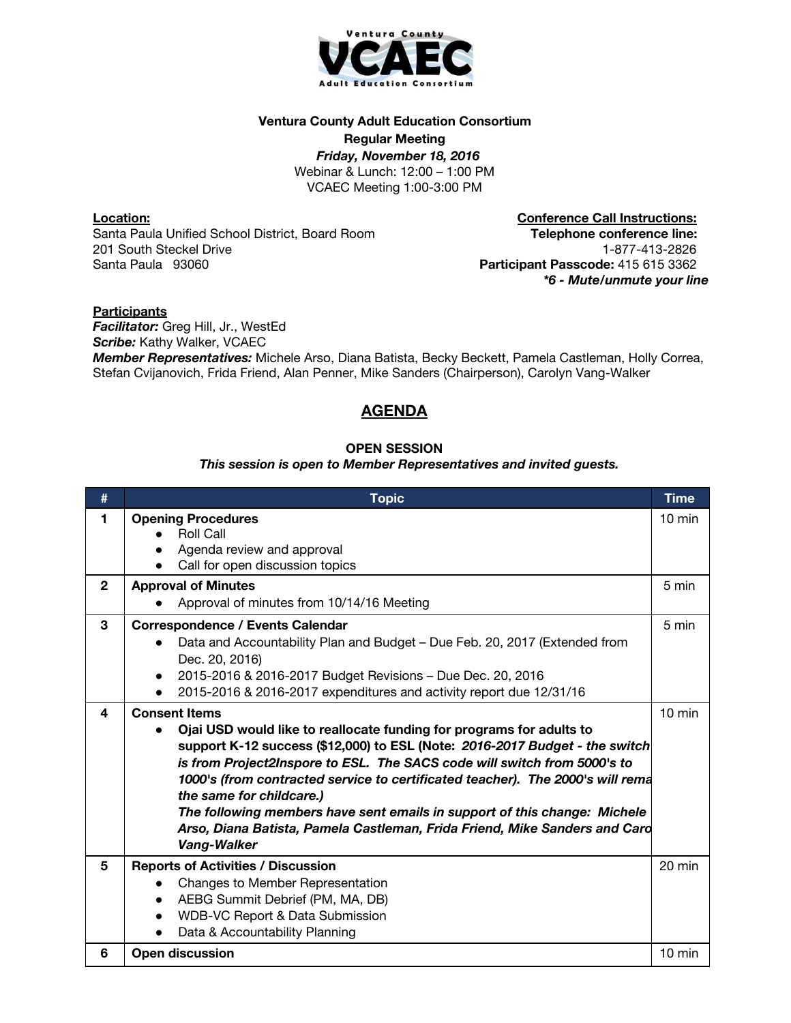

## **Ventura County Adult Education Consortium**

**Regular Meeting**

*Friday, November 18, 2016* Webinar & Lunch: 12:00 – 1:00 PM VCAEC Meeting 1:00-3:00 PM

**Location:** Santa Paula Unified School District, Board Room 201 South Steckel Drive Santa Paula 93060

**Conference Call Instructions: Telephone conference line:** 1-877-413-2826 **Participant Passcode:** 415 615 3362 *\*6 - Mute/unmute your line*

## **Participants**

*Facilitator:* Greg Hill, Jr., WestEd **Scribe:** Kathy Walker, VCAEC

*Member Representatives:* Michele Arso, Diana Batista, Becky Beckett, Pamela Castleman, Holly Correa, Stefan Cvijanovich, Frida Friend, Alan Penner, Mike Sanders (Chairperson), Carolyn Vang-Walker

# **AGENDA**

## **OPEN SESSION**

## *This session is open to Member Representatives and invited guests.*

| #            | <b>Topic</b>                                                                                                                                                                                                                                                                                                                                                                                                                                                                                                                                    | <b>Time</b>      |
|--------------|-------------------------------------------------------------------------------------------------------------------------------------------------------------------------------------------------------------------------------------------------------------------------------------------------------------------------------------------------------------------------------------------------------------------------------------------------------------------------------------------------------------------------------------------------|------------------|
| 1            | <b>Opening Procedures</b><br><b>Roll Call</b><br>Agenda review and approval<br>Call for open discussion topics                                                                                                                                                                                                                                                                                                                                                                                                                                  | $10 \text{ min}$ |
| $\mathbf{2}$ | <b>Approval of Minutes</b><br>Approval of minutes from 10/14/16 Meeting                                                                                                                                                                                                                                                                                                                                                                                                                                                                         | 5 min            |
| 3            | <b>Correspondence / Events Calendar</b><br>Data and Accountability Plan and Budget - Due Feb. 20, 2017 (Extended from<br>Dec. 20, 2016)<br>2015-2016 & 2016-2017 Budget Revisions - Due Dec. 20, 2016<br>2015-2016 & 2016-2017 expenditures and activity report due 12/31/16                                                                                                                                                                                                                                                                    | 5 min            |
| 4            | <b>Consent Items</b><br>Ojai USD would like to reallocate funding for programs for adults to<br>support K-12 success (\$12,000) to ESL (Note: 2016-2017 Budget - the switch<br>is from Project2Inspore to ESL. The SACS code will switch from 5000's to<br>1000's (from contracted service to certificated teacher). The 2000's will rema<br>the same for childcare.)<br>The following members have sent emails in support of this change: Michele<br>Arso, Diana Batista, Pamela Castleman, Frida Friend, Mike Sanders and Card<br>Vang-Walker | $10 \text{ min}$ |
| 5            | <b>Reports of Activities / Discussion</b><br>Changes to Member Representation<br>$\bullet$<br>AEBG Summit Debrief (PM, MA, DB)<br>$\bullet$<br>WDB-VC Report & Data Submission<br>$\bullet$<br>Data & Accountability Planning                                                                                                                                                                                                                                                                                                                   | 20 min           |
| 6            | <b>Open discussion</b>                                                                                                                                                                                                                                                                                                                                                                                                                                                                                                                          | $10$ min         |